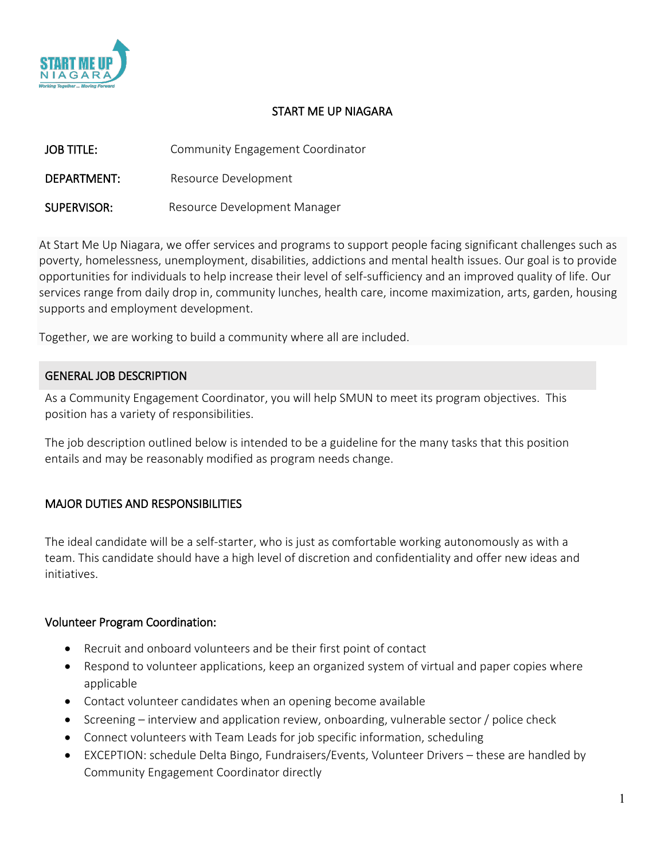

## START ME UP NIAGARA

| <b>JOB TITLE:</b> | Community Engagement Coordinator |
|-------------------|----------------------------------|
| DEPARTMENT:       | Resource Development             |
| SUPERVISOR:       | Resource Development Manager     |

At Start Me Up Niagara, we offer services and programs to support people facing significant challenges such as poverty, homelessness, unemployment, disabilities, addictions and mental health issues. Our goal is to provide opportunities for individuals to help increase their level of self-sufficiency and an improved quality of life. Our services range from daily drop in, community lunches, health care, income maximization, arts, garden, housing supports and employment development.

Together, we are working to build a community where all are included.

## GENERAL JOB DESCRIPTION

As a Community Engagement Coordinator, you will help SMUN to meet its program objectives. This position has a variety of responsibilities.

The job description outlined below is intended to be a guideline for the many tasks that this position entails and may be reasonably modified as program needs change.

## MAJOR DUTIES AND RESPONSIBILITIES

The ideal candidate will be a self-starter, who is just as comfortable working autonomously as with a team. This candidate should have a high level of discretion and confidentiality and offer new ideas and initiatives.

#### Volunteer Program Coordination:

- Recruit and onboard volunteers and be their first point of contact
- Respond to volunteer applications, keep an organized system of virtual and paper copies where applicable
- Contact volunteer candidates when an opening become available
- Screening interview and application review, onboarding, vulnerable sector / police check
- Connect volunteers with Team Leads for job specific information, scheduling
- EXCEPTION: schedule Delta Bingo, Fundraisers/Events, Volunteer Drivers these are handled by Community Engagement Coordinator directly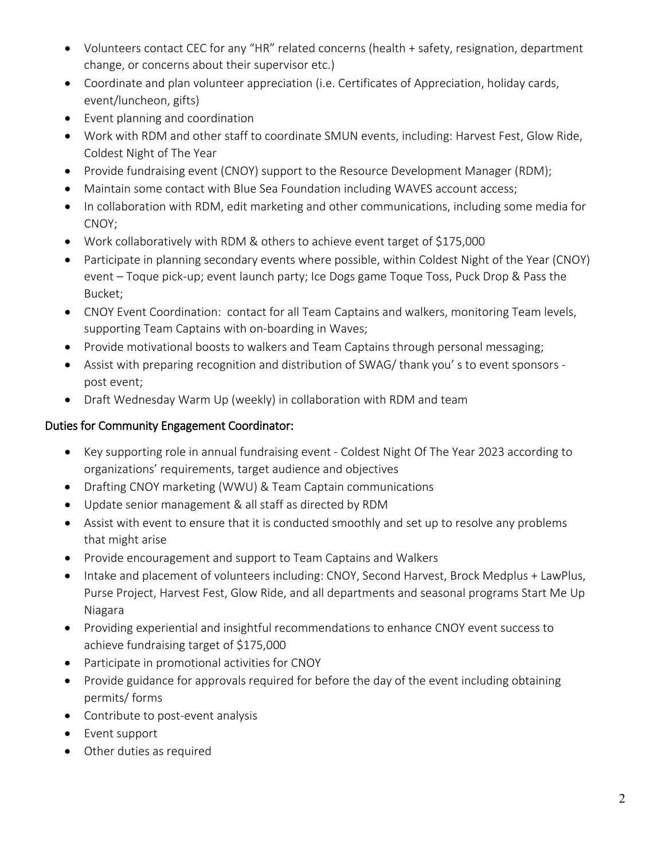- Volunteers contact CEC for any "HR" related concerns (health + safety, resignation, department change, or concerns about their supervisor etc.)
- Coordinate and plan volunteer appreciation (i.e. Certificates of Appreciation, holiday cards, event/luncheon, gifts)
- Event planning and coordination
- Work with RDM and other staff to coordinate SMUN events, including: Harvest Fest, Glow Ride, Coldest Night of The Year
- Provide fundraising event (CNOY) support to the Resource Development Manager (RDM);
- Maintain some contact with Blue Sea Foundation including WAVES account access;
- In collaboration with RDM, edit marketing and other communications, including some media for CNOY;
- Work collaboratively with RDM & others to achieve event target of \$175,000
- Participate in planning secondary events where possible, within Coldest Night of the Year (CNOY) event – Toque pick-up; event launch party; Ice Dogs game Toque Toss, Puck Drop & Pass the Bucket;
- CNOY Event Coordination: contact for all Team Captains and walkers, monitoring Team levels, supporting Team Captains with on-boarding in Waves;
- Provide motivational boosts to walkers and Team Captains through personal messaging;
- Assist with preparing recognition and distribution of SWAG/ thank you' s to event sponsors post event;
- Draft Wednesday Warm Up (weekly) in collaboration with RDM and team

# Duties for Community Engagement Coordinator:

- Key supporting role in annual fundraising event Coldest Night Of The Year 2023 according to organizations' requirements, target audience and objectives
- Drafting CNOY marketing (WWU) & Team Captain communications
- Update senior management & all staff as directed by RDM
- Assist with event to ensure that it is conducted smoothly and set up to resolve any problems that might arise
- Provide encouragement and support to Team Captains and Walkers
- Intake and placement of volunteers including: CNOY, Second Harvest, Brock Medplus + LawPlus, Purse Project, Harvest Fest, Glow Ride, and all departments and seasonal programs Start Me Up Niagara
- Providing experiential and insightful recommendations to enhance CNOY event success to achieve fundraising target of \$175,000
- Participate in promotional activities for CNOY
- Provide guidance for approvals required for before the day of the event including obtaining permits/ forms
- Contribute to post-event analysis
- Event support
- Other duties as required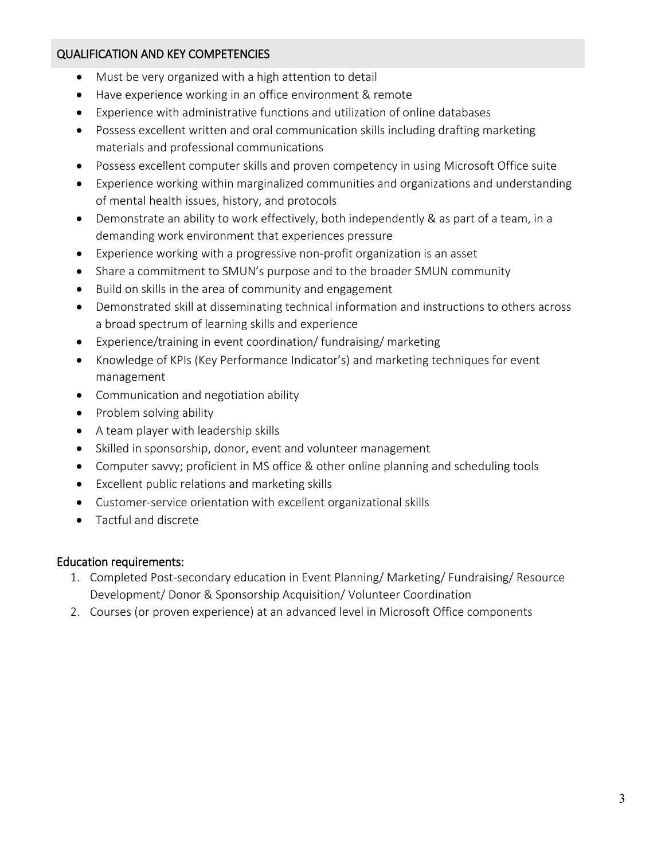## QUALIFICATION AND KEY COMPETENCIES

- Must be very organized with a high attention to detail
- Have experience working in an office environment & remote
- Experience with administrative functions and utilization of online databases
- Possess excellent written and oral communication skills including drafting marketing materials and professional communications
- Possess excellent computer skills and proven competency in using Microsoft Office suite
- Experience working within marginalized communities and organizations and understanding of mental health issues, history, and protocols
- Demonstrate an ability to work effectively, both independently & as part of a team, in a demanding work environment that experiences pressure
- Experience working with a progressive non-profit organization is an asset
- Share a commitment to SMUN's purpose and to the broader SMUN community
- Build on skills in the area of community and engagement
- Demonstrated skill at disseminating technical information and instructions to others across a broad spectrum of learning skills and experience
- Experience/training in event coordination/ fundraising/ marketing
- Knowledge of KPIs (Key Performance Indicator's) and marketing techniques for event management
- Communication and negotiation ability
- Problem solving ability
- A team player with leadership skills
- Skilled in sponsorship, donor, event and volunteer management
- Computer savvy; proficient in MS office & other online planning and scheduling tools
- Excellent public relations and marketing skills
- Customer-service orientation with excellent organizational skills
- Tactful and discrete

## Education requirements:

- 1. Completed Post-secondary education in Event Planning/ Marketing/ Fundraising/ Resource Development/ Donor & Sponsorship Acquisition/ Volunteer Coordination
- 2. Courses (or proven experience) at an advanced level in Microsoft Office components